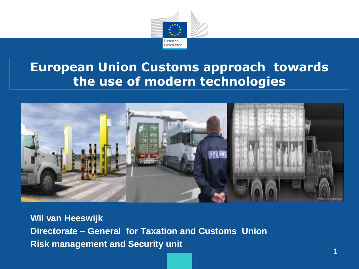

### **European Union Customs approach towards the use of modern technologies**



**Wil van Heeswijk Directorate – General for Taxation and Customs Union Risk management and Security unit**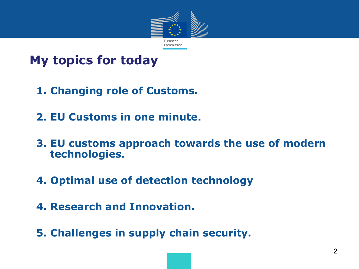

### **My topics for today**

- **1. 1. Changing role of Customs.**
- **3. 2. EU Customs in one minute.**
- **4. 3. EU customs approach towards the use of modern technologies.**
- **5. 4. Optimal use of detection technology**
- **6. 4. Research and Innovation.**
- **7. 5. Challenges in supply chain security.**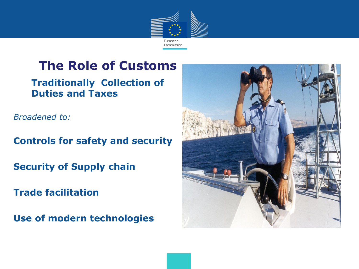

### **The Role of Customs**

**Traditionally Collection of Duties and Taxes**

*Broadened to:*

**Controls for safety and security**

**Security of Supply chain**

**Trade facilitation**

**Use of modern technologies**

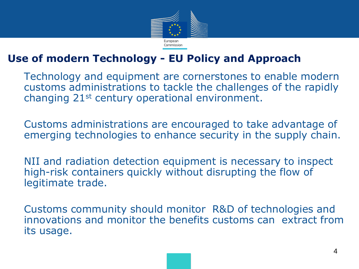

### **Use of modern Technology - EU Policy and Approach**

 Technology and equipment are cornerstones to enable modern customs administrations to tackle the challenges of the rapidly changing 21st century operational environment.

 Customs administrations are encouraged to take advantage of emerging technologies to enhance security in the supply chain.

 NII and radiation detection equipment is necessary to inspect high-risk containers quickly without disrupting the flow of legitimate trade.

 Customs community should monitor R&D of technologies and innovations and monitor the benefits customs can extract from its usage.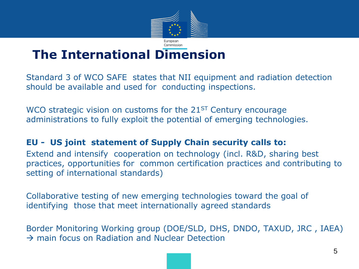

### **The International Dimension**

 Standard 3 of WCO SAFE states that NII equipment and radiation detection should be available and used for conducting inspections.

WCO strategic vision on customs for the  $21^{ST}$  Century encourage administrations to fully exploit the potential of emerging technologies.

#### **EU - US joint statement of Supply Chain security calls to:**

 Extend and intensify cooperation on technology (incl. R&D, sharing best practices, opportunities for common certification practices and contributing to setting of international standards)

 Collaborative testing of new emerging technologies toward the goal of identifying those that meet internationally agreed standards

 Border Monitoring Working group (DOE/SLD, DHS, DNDO, TAXUD, JRC , IAEA)  $\rightarrow$  main focus on Radiation and Nuclear Detection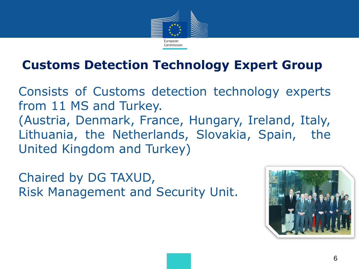

### **Customs Detection Technology Expert Group**

Consists of Customs detection technology experts from 11 MS and Turkey.

(Austria, Denmark, France, Hungary, Ireland, Italy, Lithuania, the Netherlands, Slovakia, Spain, the United Kingdom and Turkey)

Chaired by DG TAXUD, Risk Management and Security Unit.

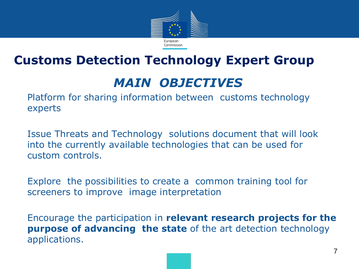

## **Customs Detection Technology Expert Group**

## *MAIN OBJECTIVES*

 Platform for sharing information between customs technology experts

 Issue Threats and Technology solutions document that will look into the currently available technologies that can be used for custom controls.

 Explore the possibilities to create a common training tool for screeners to improve image interpretation

 Encourage the participation in **relevant research projects for the purpose of advancing the state** of the art detection technology applications.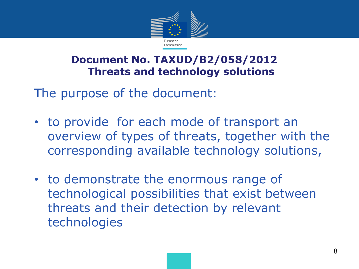

### **Document No. TAXUD/B2/058/2012 Threats and technology solutions**

The purpose of the document:

- to provide for each mode of transport an overview of types of threats, together with the corresponding available technology solutions,
- to demonstrate the enormous range of technological possibilities that exist between threats and their detection by relevant technologies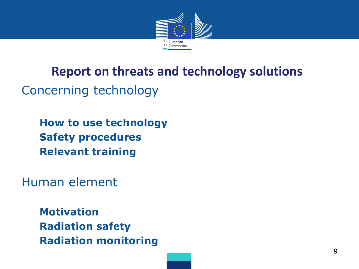

# **Report on threats and technology solutions** Concerning technology

**How to use technology Safety procedures Relevant training**

Human element

**Motivation Radiation safety Radiation monitoring**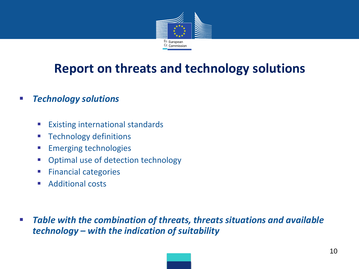

## **Report on threats and technology solutions**

#### *Technology solutions*

- **Existing international standards**
- **Technology definitions**
- **Emerging technologies**
- **Optimal use of detection technology**
- **Financial categories**
- Additional costs
- *Table with the combination of threats, threats situations and available technology – with the indication of suitability*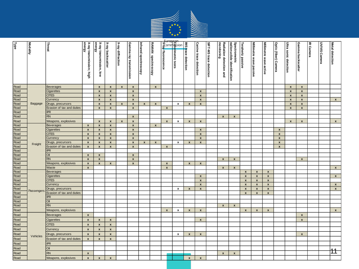

| Fype | Modality   | Threat                      | energy                    | energy                    |                           |                    |                           |                       |                    |                  |                                                             |                            |                               |                         |                                       |                                              |                           |                           |                        |                      |                       |                           |           |               |                    |
|------|------------|-----------------------------|---------------------------|---------------------------|---------------------------|--------------------|---------------------------|-----------------------|--------------------|------------------|-------------------------------------------------------------|----------------------------|-------------------------------|-------------------------|---------------------------------------|----------------------------------------------|---------------------------|---------------------------|------------------------|----------------------|-----------------------|---------------------------|-----------|---------------|--------------------|
|      |            |                             | X-ray transmission; high  | X-ray transmission, low   | X-ray backscatter         | X-ray diffraction  | Gamma ray transmission    | Infrared spectroscopy | RAMAN spectroscopy |                  | Local<br>Construction<br>Construction<br>X-Tay fluorescence | <b>IMS trace detection</b> | <b>Canine trace detection</b> | SIFT-MS trace detection | monitoring<br>Radiation detection and | Spectrometric<br>radionuclide identification | Terahertz passive         | Millimetre wave passive   | Millimetre wave active | Optic (fiber) Camera | Ultra sonic detection | Gamma backscatter         | IR Camera | UV/VIS Camera | Metal detection    |
|      |            |                             |                           |                           |                           |                    |                           |                       |                    |                  |                                                             |                            |                               |                         |                                       |                                              |                           |                           |                        |                      |                       |                           |           |               |                    |
|      |            |                             |                           |                           |                           |                    |                           |                       |                    |                  |                                                             |                            |                               |                         |                                       |                                              |                           |                           |                        |                      |                       |                           |           |               |                    |
|      |            |                             |                           |                           |                           |                    |                           |                       |                    |                  |                                                             |                            |                               |                         |                                       |                                              |                           |                           |                        |                      |                       |                           |           |               |                    |
|      |            |                             |                           |                           |                           |                    |                           |                       |                    |                  |                                                             |                            |                               |                         |                                       |                                              |                           |                           |                        |                      |                       |                           |           |               |                    |
|      |            |                             |                           |                           |                           |                    |                           |                       |                    |                  |                                                             |                            |                               |                         |                                       |                                              |                           |                           |                        |                      |                       |                           |           |               |                    |
| Road | Baggage    | <b>Beverages</b>            |                           | $\mathbf{x}$              | $\pmb{\mathsf{x}}$        | $\pmb{\mathsf{x}}$ | $\mathbf{x}$              |                       | $\mathbf{x}$       |                  |                                                             |                            |                               |                         |                                       |                                              |                           |                           |                        |                      | $\pmb{\mathsf{x}}$    | $\boldsymbol{x}$          |           |               |                    |
| Road |            | Cigarettes                  |                           | $\pmb{\chi}$              | $\pmb{\chi}$              |                    | $\pmb{\mathsf{x}}$        |                       |                    |                  |                                                             |                            | $\pmb{\mathsf{x}}$            |                         |                                       |                                              |                           |                           |                        |                      | $\pmb{\mathsf{x}}$    | $\pmb{\mathsf{x}}$        |           |               |                    |
| Road |            | <b>CITES</b>                |                           | $\pmb{\chi}$              | $\pmb{\mathsf{x}}$        |                    | $\pmb{\mathsf{x}}$        |                       |                    |                  |                                                             |                            | $\pmb{\mathsf{x}}$            |                         |                                       |                                              |                           |                           |                        |                      | $\pmb{\mathsf{x}}$    | $\pmb{\mathsf{x}}$        |           |               |                    |
| Road |            | Currency                    |                           | $\boldsymbol{\mathsf{x}}$ | $\pmb{\mathsf{x}}$        |                    | $\pmb{\mathsf{x}}$        |                       |                    |                  |                                                             |                            | $\pmb{\mathsf{x}}$            |                         |                                       |                                              |                           |                           |                        |                      | $\pmb{\mathsf{x}}$    | $\boldsymbol{x}$          |           |               | $\mathbf{x}$       |
| Road |            | Drugs, precursors           |                           | $\mathbf{x}$              | $\pmb{\mathsf{x}}$        | $\mathbf{x}$       | $\boldsymbol{x}$          | $\mathbf{x}$          | $\mathbf{x}$       |                  | $\mathbf{x}$                                                | $\mathbf{x}$               | $\boldsymbol{x}$              |                         |                                       |                                              |                           |                           |                        |                      | $\mathbf{x}$          | $\mathbf{x}$              |           |               |                    |
| Road |            | Evasion of tax and duties   |                           | $\boldsymbol{\mathsf{x}}$ | $\pmb{\mathsf{x}}$        |                    | $\pmb{\mathsf{x}}$        |                       |                    | $\boldsymbol{x}$ |                                                             |                            |                               |                         |                                       |                                              |                           |                           |                        |                      | $\pmb{\mathsf{x}}$    | $\pmb{\mathsf{x}}$        |           |               |                    |
| Road |            | $IPR$                       |                           |                           |                           |                    |                           |                       |                    |                  |                                                             |                            |                               |                         |                                       |                                              |                           |                           |                        |                      |                       |                           |           |               |                    |
| Road |            | <b>RN</b>                   |                           |                           |                           |                    | $\boldsymbol{\mathsf{x}}$ |                       |                    |                  |                                                             |                            |                               |                         | $\mathbf{x}$                          | $\mathbf{x}$                                 |                           |                           |                        |                      |                       |                           |           |               |                    |
| Road |            | Weapons, explosives         |                           | $\boldsymbol{x}$          | $\pmb{\mathsf{x}}$        | $\pmb{\mathsf{x}}$ | $\mathbf{x}$              |                       |                    | $\pmb{\chi}$     | x                                                           | $\pmb{\mathsf{x}}$         | $\boldsymbol{x}$              |                         |                                       |                                              |                           |                           |                        |                      | $\pmb{\mathsf{x}}$    | $\pmb{\mathsf{x}}$        |           |               | $\pmb{\mathsf{x}}$ |
| Road | Freight    | <b>Beverages</b>            | $\pmb{\mathsf{x}}$        | $\pmb{\chi}$              | $\pmb{\mathsf{x}}$        |                    | $\pmb{\mathsf{x}}$        |                       | $\mathbf{x}$       |                  |                                                             |                            |                               |                         |                                       |                                              |                           |                           |                        |                      |                       |                           |           |               |                    |
| Road |            | Cigarettes                  | $\pmb{\mathsf{x}}$        | $\boldsymbol{\mathsf{x}}$ | $\mathbf{x}$              |                    | $\pmb{\mathsf{x}}$        |                       |                    |                  |                                                             |                            | $\mathbf{x}$                  |                         |                                       |                                              |                           |                           |                        | $\mathbf{x}$         |                       |                           |           |               |                    |
| Road |            | <b>CITES</b>                | $\pmb{\mathsf{x}}$        | $\pmb{\mathsf{x}}$        | $\pmb{\mathsf{x}}$        |                    | $\pmb{\mathsf{x}}$        |                       |                    |                  |                                                             |                            | $\pmb{\mathsf{x}}$            |                         |                                       |                                              |                           |                           |                        | $\pmb{\mathsf{x}}$   |                       |                           |           |               |                    |
| Road |            | Currency                    | $\pmb{\mathsf{x}}$        | $\mathbf{x}$              | $\pmb{\mathsf{x}}$        |                    | $\pmb{\mathsf{x}}$        |                       |                    |                  |                                                             |                            | $\pmb{\mathsf{x}}$            |                         |                                       |                                              |                           |                           |                        | $\pmb{\mathsf{x}}$   |                       |                           |           |               |                    |
| Road |            | Drugs, precursors           | $\pmb{\mathsf{x}}$        | $\boldsymbol{x}$          | $\boldsymbol{\mathsf{x}}$ |                    | $\pmb{\mathsf{x}}$        | $\boldsymbol{x}$      | $\mathbf{x}$       |                  | $\mathbf{x}$                                                | $\mathbf{x}$               | $\pmb{\mathsf{x}}$            |                         |                                       |                                              |                           |                           |                        | $\boldsymbol{x}$     |                       |                           |           |               |                    |
| Road |            | Evasion of tax and duties   | $\pmb{\mathsf{x}}$        | $\boldsymbol{\mathsf{x}}$ | $\pmb{\mathsf{x}}$        |                    | $\pmb{\mathsf{x}}$        |                       |                    | $\boldsymbol{x}$ |                                                             |                            |                               |                         |                                       |                                              |                           |                           |                        | $\pmb{\mathsf{x}}$   |                       |                           |           |               |                    |
| Road |            | <b>IPR</b>                  |                           |                           |                           |                    |                           |                       |                    |                  |                                                             |                            |                               |                         |                                       |                                              |                           |                           |                        |                      |                       |                           |           |               |                    |
| Road |            | Oil                         | $\pmb{\mathsf{x}}$        | $\boldsymbol{\mathsf{x}}$ |                           |                    | $\mathbf{x}$              |                       |                    |                  |                                                             |                            |                               |                         |                                       |                                              |                           |                           |                        |                      |                       |                           |           |               |                    |
| Road |            | <b>RN</b>                   | $\pmb{\mathsf{x}}$        | $\boldsymbol{\mathsf{x}}$ |                           |                    | $\pmb{\chi}$              |                       |                    |                  |                                                             |                            |                               |                         | $\boldsymbol{x}$                      | $\pmb{\mathsf{x}}$                           |                           |                           |                        |                      |                       | $\pmb{\mathsf{x}}$        |           |               |                    |
| Road |            | Weapons, explosives         | $\pmb{\mathsf{x}}$        | $\pmb{\mathsf{x}}$        | $\mathbf{x}$              |                    | $\pmb{\mathsf{x}}$        |                       |                    | $\mathbf{x}$     |                                                             | $\boldsymbol{\mathsf{x}}$  | $\mathbf{x}$                  |                         |                                       |                                              |                           |                           |                        |                      |                       |                           |           |               |                    |
| Road |            | Waste                       | $\mathbf{x}$              |                           |                           |                    |                           |                       |                    | $\mathbf{x}$     |                                                             |                            |                               |                         | $\mathbf{x}$                          | $\pmb{\mathsf{x}}$                           |                           |                           |                        |                      |                       |                           |           |               | $\boldsymbol{x}$   |
| Road | Passengers | Beverages                   |                           |                           |                           |                    |                           |                       |                    |                  |                                                             |                            |                               |                         |                                       |                                              | $\boldsymbol{x}$          | $\mathbf{x}$              | $\mathbf{x}$           |                      |                       |                           |           |               |                    |
| Road |            | Cigarettes                  |                           |                           |                           |                    |                           |                       |                    |                  |                                                             |                            | $\mathbf{x}$                  |                         |                                       |                                              | $\pmb{\mathsf{x}}$        | $\pmb{\mathsf{x}}$        | $\pmb{\mathsf{x}}$     |                      |                       |                           |           |               | $\pmb{\mathsf{x}}$ |
| Road |            | <b>CITES</b>                |                           |                           |                           |                    |                           |                       |                    |                  |                                                             |                            | $\pmb{\mathsf{x}}$            |                         |                                       |                                              | $\pmb{\mathsf{x}}$        | $\boldsymbol{\mathsf{x}}$ | $\pmb{\mathsf{x}}$     |                      |                       |                           |           |               |                    |
| Road |            | Currency                    |                           |                           |                           |                    |                           |                       |                    |                  |                                                             |                            | $\pmb{\mathsf{x}}$            |                         |                                       |                                              | $\pmb{\chi}$              | $\mathbf{x}$              | $\pmb{\mathsf{x}}$     |                      |                       |                           |           |               | $\mathbf{x}$       |
| Road |            | Drugs, precursors           |                           |                           |                           |                    |                           |                       |                    |                  | $\boldsymbol{\mathsf{x}}$                                   | $\pmb{\mathsf{x}}$         | $\pmb{\mathsf{x}}$            |                         |                                       |                                              | $\pmb{\mathsf{x}}$        | $\pmb{\mathsf{x}}$        | $\pmb{\mathsf{x}}$     |                      |                       |                           |           |               | $\mathbf{x}$       |
| Road |            | Evasion of tax and duties   |                           |                           |                           |                    |                           |                       |                    |                  |                                                             |                            |                               |                         |                                       |                                              | $\boldsymbol{\mathsf{x}}$ | $\boldsymbol{\mathsf{x}}$ | $\pmb{\mathsf{x}}$     |                      |                       |                           |           |               |                    |
| Road |            | $\ensuremath{\mathsf{IPR}}$ |                           |                           |                           |                    |                           |                       |                    |                  |                                                             |                            |                               |                         |                                       |                                              |                           |                           |                        |                      |                       |                           |           |               |                    |
| Road |            | Oil                         |                           |                           |                           |                    |                           |                       |                    |                  |                                                             |                            |                               |                         |                                       |                                              |                           |                           |                        |                      |                       |                           |           |               |                    |
| Road |            | RN                          |                           |                           |                           |                    |                           |                       |                    |                  |                                                             |                            |                               |                         | $\mathbf{x}$                          | $\pmb{\mathsf{x}}$                           |                           |                           |                        |                      |                       |                           |           |               |                    |
| Road |            | Weapons, explosives         |                           |                           |                           |                    |                           |                       |                    | $\mathbf{x}$     | x                                                           | $\pmb{\mathsf{x}}$         | $\mathbf{x}$                  |                         |                                       |                                              | $\boldsymbol{\mathsf{x}}$ | $\mathbf{x}$              | $\boldsymbol{x}$       |                      |                       |                           |           |               | $\boldsymbol{x}$   |
| Road | Vehicles   | <b>Beverages</b>            | $\boldsymbol{\mathsf{x}}$ |                           |                           |                    |                           |                       |                    |                  |                                                             |                            |                               |                         |                                       |                                              |                           |                           |                        |                      |                       | $\boldsymbol{\mathsf{x}}$ |           |               |                    |
| Road |            | Cigarettes                  | $\pmb{\mathsf{x}}$        | $\mathbf{x}$              | $\pmb{\mathsf{x}}$        |                    |                           |                       |                    |                  |                                                             |                            | $\pmb{\mathsf{x}}$            |                         |                                       |                                              |                           |                           |                        |                      |                       | $\boldsymbol{\mathsf{x}}$ |           |               |                    |
| Road |            | <b>CITES</b>                | $\pmb{\mathsf{x}}$        | $\pmb{\chi}$              | $\pmb{\mathsf{x}}$        |                    |                           |                       |                    |                  |                                                             |                            |                               |                         |                                       |                                              |                           |                           |                        |                      |                       |                           |           |               |                    |
| Road |            | Currency                    | $\pmb{\mathsf{x}}$        | $\pmb{\mathsf{x}}$        | $\pmb{\mathsf{x}}$        |                    |                           |                       |                    |                  |                                                             |                            |                               |                         |                                       |                                              |                           |                           |                        |                      |                       |                           |           |               |                    |
| Road |            |                             | $\mathbf{x}$              | $\mathbf{x}$              | $\mathbf{x}$              |                    |                           |                       |                    |                  | $\boldsymbol{\mathsf{x}}$                                   | $\boldsymbol{x}$           | $\mathbf{x}$                  |                         |                                       |                                              |                           |                           |                        |                      |                       | $\boldsymbol{\mathsf{x}}$ |           |               |                    |
|      |            | Drugs, precursors           |                           |                           |                           |                    |                           |                       |                    |                  |                                                             |                            |                               |                         |                                       |                                              |                           |                           |                        |                      |                       |                           |           |               |                    |
| Road |            | Evasion of tax and duties   | $\pmb{\mathsf{x}}$        | $\pmb{\mathsf{x}}$        | $\pmb{\mathsf{x}}$        |                    |                           |                       |                    |                  |                                                             |                            |                               |                         |                                       |                                              |                           |                           |                        |                      |                       |                           |           |               |                    |
| Road |            | $\ensuremath{\mathsf{IPR}}$ |                           |                           |                           |                    |                           |                       |                    |                  |                                                             |                            |                               |                         |                                       |                                              |                           |                           |                        |                      |                       |                           |           |               |                    |
| Road |            | Oil                         |                           |                           |                           |                    |                           |                       |                    |                  |                                                             |                            |                               |                         |                                       |                                              |                           |                           |                        |                      |                       |                           |           |               |                    |
| Road |            | <b>RN</b>                   | $\pmb{\mathsf{x}}$        |                           |                           |                    |                           |                       |                    |                  |                                                             |                            |                               |                         | $\pmb{\chi}$                          | $\pmb{\mathsf{x}}$                           |                           |                           |                        |                      |                       |                           |           |               | Π                  |
| Road |            | Weapons, explosives         | $\pmb{\mathsf{x}}$        | $\pmb{\chi}$              | $\pmb{\mathsf{x}}$        |                    |                           |                       |                    |                  |                                                             | $\pmb{\mathsf{x}}$         | $\pmb{\mathsf{x}}$            |                         |                                       |                                              |                           |                           |                        |                      |                       |                           |           |               |                    |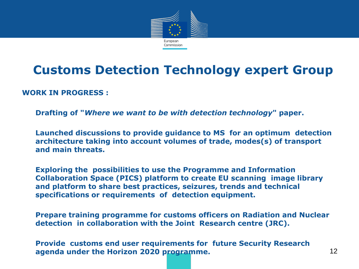

### **Customs Detection Technology expert Group**

#### **WORK IN PROGRESS :**

**1. Drafting of "***Where we want to be with detection technology***" paper.** 

**2. Launched discussions to provide guidance to MS for an optimum detection architecture taking into account volumes of trade, modes(s) of transport and main threats.**

**3. Exploring the possibilities to use the Programme and Information Collaboration Space (PICS) platform to create EU scanning image library and platform to share best practices, seizures, trends and technical specifications or requirements of detection equipment.**

**4. Prepare training programme for customs officers on Radiation and Nuclear detection in collaboration with the Joint Research centre (JRC).** 

**6. Provide customs end user requirements for future Security Research agenda under the Horizon 2020 programme.** 12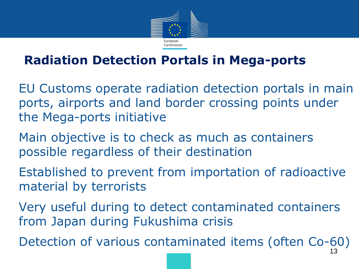

### **Radiation Detection Portals in Mega-ports**

• EU Customs operate radiation detection portals in main ports, airports and land border crossing points under the Mega-ports initiative

Main objective is to check as much as containers possible regardless of their destination

Established to prevent from importation of radioactive material by terrorists

• Very useful during to detect contaminated containers from Japan during Fukushima crisis

• Detection of various contaminated items (often Co-60)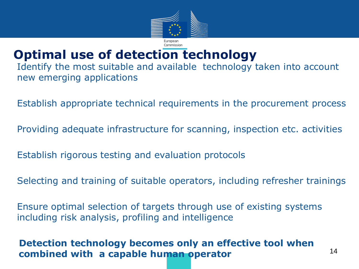

### **Optimal use of detection technology**

 Identify the most suitable and available technology taken into account new emerging applications

Establish appropriate technical requirements in the procurement process

Providing adequate infrastructure for scanning, inspection etc. activities

Establish rigorous testing and evaluation protocols

Selecting and training of suitable operators, including refresher trainings

 Ensure optimal selection of targets through use of existing systems including risk analysis, profiling and intelligence

### **Detection technology becomes only an effective tool when combined with a capable human operator** 14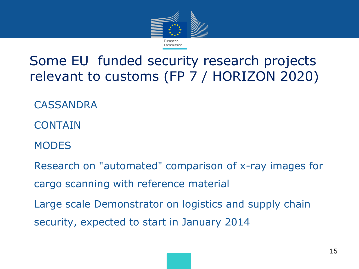

## Some EU funded security research projects relevant to customs (FP 7 / HORIZON 2020)

**CASSANDRA** 

- **CONTAIN**
- **MODES**

Research on "automated" comparison of x-ray images for cargo scanning with reference material Large scale Demonstrator on logistics and supply chain

security, expected to start in January 2014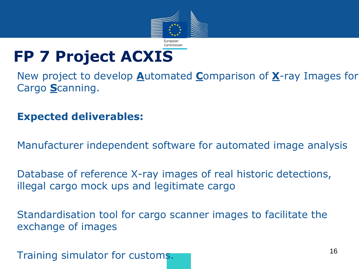

# **FP 7 Project ACXIS**

 New project to develop **A**utomated **C**omparison of **X**-ray Images for Cargo **S**canning.

### **Expected deliverables:**

Manufacturer independent software for automated image analysis

 Database of reference X-ray images of real historic detections, illegal cargo mock ups and legitimate cargo

 Standardisation tool for cargo scanner images to facilitate the exchange of images

Training simulator for customs.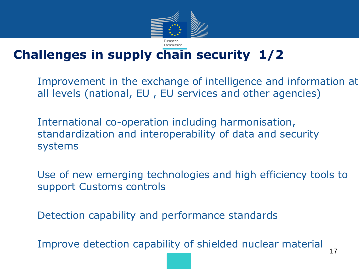

# **Challenges in supply chain security 1/2**

Improvement in the exchange of intelligence and information at all levels (national, EU , EU services and other agencies)

 International co-operation including harmonisation, standardization and interoperability of data and security systems

 Use of new emerging technologies and high efficiency tools to support Customs controls

Detection capability and performance standards

Improve detection capability of shielded nuclear material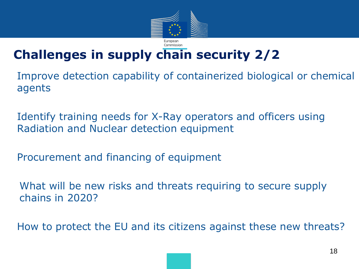

# **Challenges in supply chain security 2/2**

 Improve detection capability of containerized biological or chemical agents

 Identify training needs for X-Ray operators and officers using Radiation and Nuclear detection equipment

Procurement and financing of equipment

 What will be new risks and threats requiring to secure supply chains in 2020?

How to protect the EU and its citizens against these new threats?